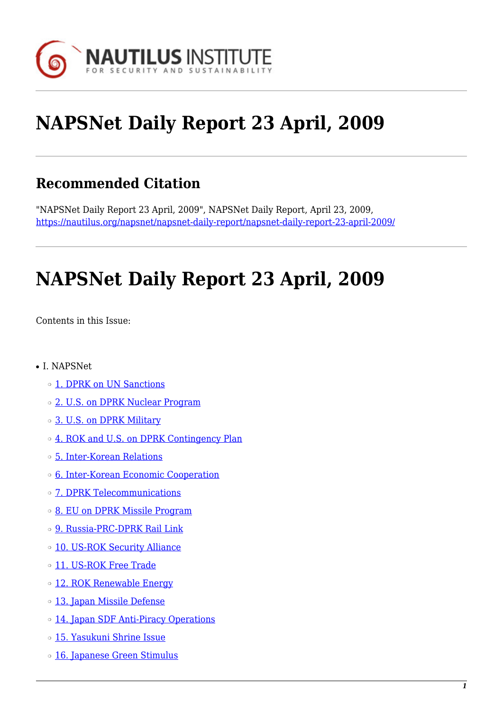

# **NAPSNet Daily Report 23 April, 2009**

# **Recommended Citation**

"NAPSNet Daily Report 23 April, 2009", NAPSNet Daily Report, April 23, 2009, <https://nautilus.org/napsnet/napsnet-daily-report/napsnet-daily-report-23-april-2009/>

# **NAPSNet Daily Report 23 April, 2009**

<span id="page-0-0"></span>Contents in this Issue:

- I. NAPSNet
	- ❍ [1. DPRK on UN Sanctions](#page-1-0)
	- ❍ [2. U.S. on DPRK Nuclear Program](#page-1-1)
	- ❍ [3. U.S. on DPRK Military](#page-2-0)
	- o [4. ROK and U.S. on DPRK Contingency Plan](#page-2-1)
	- ❍ [5. Inter-Korean Relations](#page-2-2)
	- ❍ [6. Inter-Korean Economic Cooperation](#page-3-0)
	- ❍ [7. DPRK Telecommunications](#page-3-1)
	- ❍ [8. EU on DPRK Missile Program](#page-3-2)
	- ❍ [9. Russia-PRC-DPRK Rail Link](#page-3-3)
	- o [10. US-ROK Security Alliance](#page-4-0)
	- ❍ [11. US-ROK Free Trade](#page-4-1)
	- ❍ [12. ROK Renewable Energy](#page-4-2)
	- o [13. Japan Missile Defense](#page-4-3)
	- ❍ [14. Japan SDF Anti-Piracy Operations](#page-5-0)
	- ❍ [15. Yasukuni Shrine Issue](#page-5-1)
	- o [16. Japanese Green Stimulus](#page-5-2)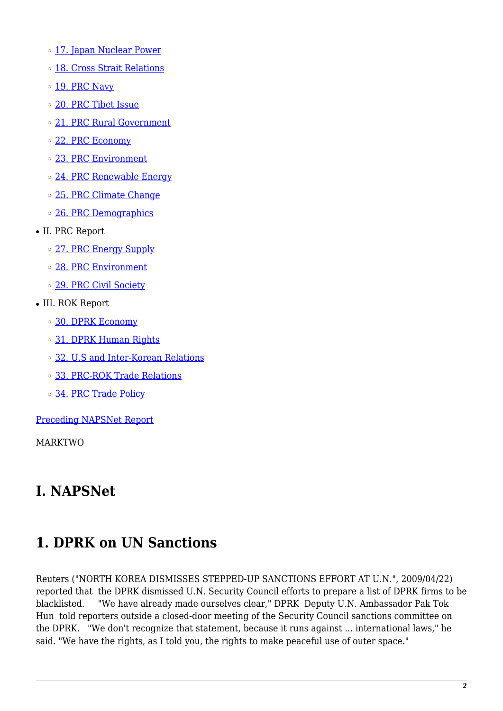- o [17. Japan Nuclear Power](#page-5-3)
- ❍ [18. Cross Strait Relations](#page-6-0)
- o [19. PRC Navy](#page-6-1)
- ❍ [20. PRC Tibet Issue](#page-6-2)
- ❍ [21. PRC Rural Government](#page-7-0)
- ❍ [22. PRC Economy](#page-7-1)
- ❍ [23. PRC Environment](#page-7-2)
- ❍ [24. PRC Renewable Energy](#page-8-0)
- o [25. PRC Climate Change](#page-8-1)
- ❍ [26. PRC Demographics](#page-8-2)
- II. PRC Report
	- o [27. PRC Energy Supply](#page-9-0)
	- ❍ [28. PRC Environment](#page-9-1)
	- ❍ [29. PRC Civil Society](#page-9-2)
- III. ROK Report
	- ❍ [30. DPRK Economy](#page-9-3)
	- o [31. DPRK Human Rights](#page-10-0)
	- ❍ [32. U.S and Inter-Korean Relations](#page-10-1)
	- ❍ [33. PRC-ROK Trade Relations](#page-10-2)
	- o [34. PRC Trade Policy](#page-10-3)

[Preceding NAPSNet Report](https://nautilus.org/mailing-lists/napsnet/dr/2009-2/napsnet-daily-report-22-april-2009/)

MARKTWO

### **I. NAPSNet**

### <span id="page-1-0"></span>**1. DPRK on UN Sanctions**

<span id="page-1-1"></span>Reuters ("NORTH KOREA DISMISSES STEPPED-UP SANCTIONS EFFORT AT U.N.", 2009/04/22) reported that the DPRK dismissed U.N. Security Council efforts to prepare a list of DPRK firms to be blacklisted. "We have already made ourselves clear," DPRK Deputy U.N. Ambassador Pak Tok Hun told reporters outside a closed-door meeting of the Security Council sanctions committee on the DPRK. "We don't recognize that statement, because it runs against ... international laws," he said. "We have the rights, as I told you, the rights to make peaceful use of outer space."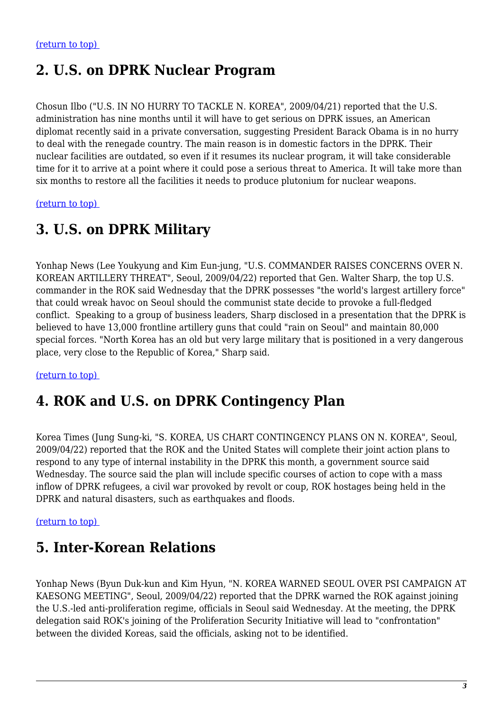### **2. U.S. on DPRK Nuclear Program**

Chosun Ilbo ("U.S. IN NO HURRY TO TACKLE N. KOREA", 2009/04/21) reported that the U.S. administration has nine months until it will have to get serious on DPRK issues, an American diplomat recently said in a private conversation, suggesting President Barack Obama is in no hurry to deal with the renegade country. The main reason is in domestic factors in the DPRK. Their nuclear facilities are outdated, so even if it resumes its nuclear program, it will take considerable time for it to arrive at a point where it could pose a serious threat to America. It will take more than six months to restore all the facilities it needs to produce plutonium for nuclear weapons.

<span id="page-2-0"></span>[\(return to top\)](#page-0-0) 

### **3. U.S. on DPRK Military**

Yonhap News (Lee Youkyung and Kim Eun-jung, "U.S. COMMANDER RAISES CONCERNS OVER N. KOREAN ARTILLERY THREAT", Seoul, 2009/04/22) reported that Gen. Walter Sharp, the top U.S. commander in the ROK said Wednesday that the DPRK possesses "the world's largest artillery force" that could wreak havoc on Seoul should the communist state decide to provoke a full-fledged conflict. Speaking to a group of business leaders, Sharp disclosed in a presentation that the DPRK is believed to have 13,000 frontline artillery guns that could "rain on Seoul" and maintain 80,000 special forces. "North Korea has an old but very large military that is positioned in a very dangerous place, very close to the Republic of Korea," Sharp said.

<span id="page-2-1"></span>[\(return to top\)](#page-0-0) 

### **4. ROK and U.S. on DPRK Contingency Plan**

Korea Times (Jung Sung-ki, "S. KOREA, US CHART CONTINGENCY PLANS ON N. KOREA", Seoul, 2009/04/22) reported that the ROK and the United States will complete their joint action plans to respond to any type of internal instability in the DPRK this month, a government source said Wednesday. The source said the plan will include specific courses of action to cope with a mass inflow of DPRK refugees, a civil war provoked by revolt or coup, ROK hostages being held in the DPRK and natural disasters, such as earthquakes and floods.

<span id="page-2-2"></span>[\(return to top\)](#page-0-0) 

### **5. Inter-Korean Relations**

Yonhap News (Byun Duk-kun and Kim Hyun, "N. KOREA WARNED SEOUL OVER PSI CAMPAIGN AT KAESONG MEETING", Seoul, 2009/04/22) reported that the DPRK warned the ROK against joining the U.S.-led anti-proliferation regime, officials in Seoul said Wednesday. At the meeting, the DPRK delegation said ROK's joining of the Proliferation Security Initiative will lead to "confrontation" between the divided Koreas, said the officials, asking not to be identified.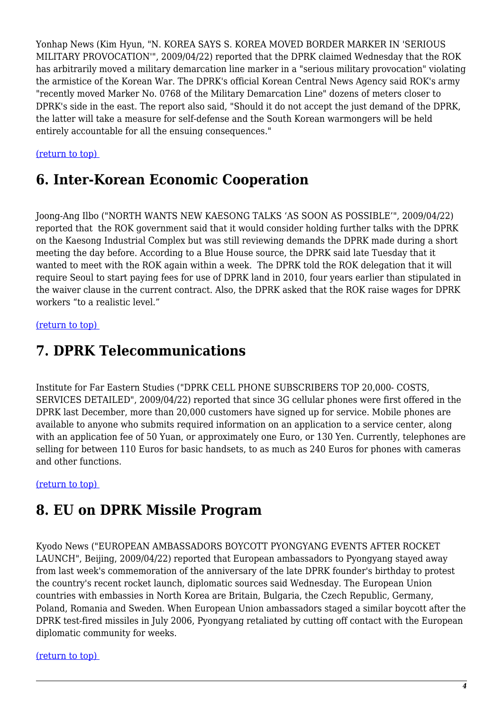Yonhap News (Kim Hyun, "N. KOREA SAYS S. KOREA MOVED BORDER MARKER IN 'SERIOUS MILITARY PROVOCATION'", 2009/04/22) reported that the DPRK claimed Wednesday that the ROK has arbitrarily moved a military demarcation line marker in a "serious military provocation" violating the armistice of the Korean War. The DPRK's official Korean Central News Agency said ROK's army "recently moved Marker No. 0768 of the Military Demarcation Line" dozens of meters closer to DPRK's side in the east. The report also said, "Should it do not accept the just demand of the DPRK, the latter will take a measure for self-defense and the South Korean warmongers will be held entirely accountable for all the ensuing consequences."

#### <span id="page-3-0"></span>[\(return to top\)](#page-0-0)

#### **6. Inter-Korean Economic Cooperation**

Joong-Ang Ilbo ("NORTH WANTS NEW KAESONG TALKS 'AS SOON AS POSSIBLE'", 2009/04/22) reported that the ROK government said that it would consider holding further talks with the DPRK on the Kaesong Industrial Complex but was still reviewing demands the DPRK made during a short meeting the day before. According to a Blue House source, the DPRK said late Tuesday that it wanted to meet with the ROK again within a week. The DPRK told the ROK delegation that it will require Seoul to start paying fees for use of DPRK land in 2010, four years earlier than stipulated in the waiver clause in the current contract. Also, the DPRK asked that the ROK raise wages for DPRK workers "to a realistic level."

#### <span id="page-3-1"></span>[\(return to top\)](#page-0-0)

### **7. DPRK Telecommunications**

Institute for Far Eastern Studies ("DPRK CELL PHONE SUBSCRIBERS TOP 20,000- COSTS, SERVICES DETAILED", 2009/04/22) reported that since 3G cellular phones were first offered in the DPRK last December, more than 20,000 customers have signed up for service. Mobile phones are available to anyone who submits required information on an application to a service center, along with an application fee of 50 Yuan, or approximately one Euro, or 130 Yen. Currently, telephones are selling for between 110 Euros for basic handsets, to as much as 240 Euros for phones with cameras and other functions.

#### <span id="page-3-2"></span>[\(return to top\)](#page-0-0)

#### **8. EU on DPRK Missile Program**

Kyodo News ("EUROPEAN AMBASSADORS BOYCOTT PYONGYANG EVENTS AFTER ROCKET LAUNCH", Beijing, 2009/04/22) reported that European ambassadors to Pyongyang stayed away from last week's commemoration of the anniversary of the late DPRK founder's birthday to protest the country's recent rocket launch, diplomatic sources said Wednesday. The European Union countries with embassies in North Korea are Britain, Bulgaria, the Czech Republic, Germany, Poland, Romania and Sweden. When European Union ambassadors staged a similar boycott after the DPRK test-fired missiles in July 2006, Pyongyang retaliated by cutting off contact with the European diplomatic community for weeks.

#### <span id="page-3-3"></span>[\(return to top\)](#page-0-0)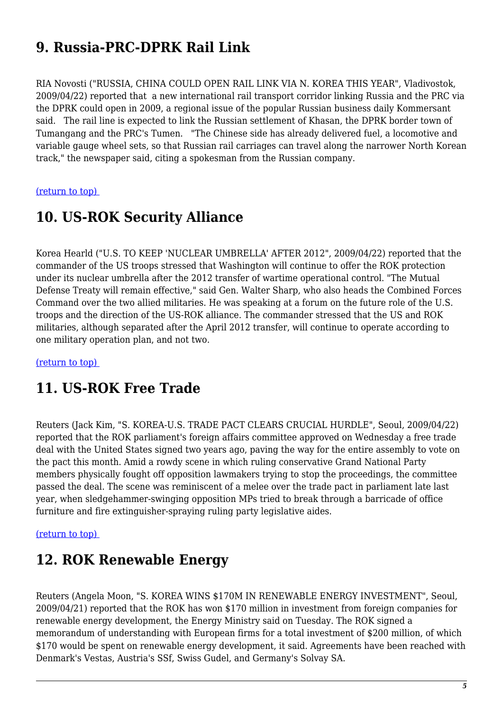# **9. Russia-PRC-DPRK Rail Link**

RIA Novosti ("RUSSIA, CHINA COULD OPEN RAIL LINK VIA N. KOREA THIS YEAR", Vladivostok, 2009/04/22) reported that a new international rail transport corridor linking Russia and the PRC via the DPRK could open in 2009, a regional issue of the popular Russian business daily Kommersant said. The rail line is expected to link the Russian settlement of Khasan, the DPRK border town of Tumangang and the PRC's Tumen. "The Chinese side has already delivered fuel, a locomotive and variable gauge wheel sets, so that Russian rail carriages can travel along the narrower North Korean track," the newspaper said, citing a spokesman from the Russian company.

#### <span id="page-4-0"></span>[\(return to top\)](#page-0-0)

#### **10. US-ROK Security Alliance**

Korea Hearld ("U.S. TO KEEP 'NUCLEAR UMBRELLA' AFTER 2012", 2009/04/22) reported that the commander of the US troops stressed that Washington will continue to offer the ROK protection under its nuclear umbrella after the 2012 transfer of wartime operational control. "The Mutual Defense Treaty will remain effective," said Gen. Walter Sharp, who also heads the Combined Forces Command over the two allied militaries. He was speaking at a forum on the future role of the U.S. troops and the direction of the US-ROK alliance. The commander stressed that the US and ROK militaries, although separated after the April 2012 transfer, will continue to operate according to one military operation plan, and not two.

<span id="page-4-1"></span>[\(return to top\)](#page-0-0) 

### **11. US-ROK Free Trade**

Reuters (Jack Kim, "S. KOREA-U.S. TRADE PACT CLEARS CRUCIAL HURDLE", Seoul, 2009/04/22) reported that the ROK parliament's foreign affairs committee approved on Wednesday a free trade deal with the United States signed two years ago, paving the way for the entire assembly to vote on the pact this month. Amid a rowdy scene in which ruling conservative Grand National Party members physically fought off opposition lawmakers trying to stop the proceedings, the committee passed the deal. The scene was reminiscent of a melee over the trade pact in parliament late last year, when sledgehammer-swinging opposition MPs tried to break through a barricade of office furniture and fire extinguisher-spraying ruling party legislative aides.

#### <span id="page-4-2"></span>[\(return to top\)](#page-0-0)

#### **12. ROK Renewable Energy**

<span id="page-4-3"></span>Reuters (Angela Moon, "S. KOREA WINS \$170M IN RENEWABLE ENERGY INVESTMENT", Seoul, 2009/04/21) reported that the ROK has won \$170 million in investment from foreign companies for renewable energy development, the Energy Ministry said on Tuesday. The ROK signed a memorandum of understanding with European firms for a total investment of \$200 million, of which \$170 would be spent on renewable energy development, it said. Agreements have been reached with Denmark's Vestas, Austria's SSf, Swiss Gudel, and Germany's Solvay SA.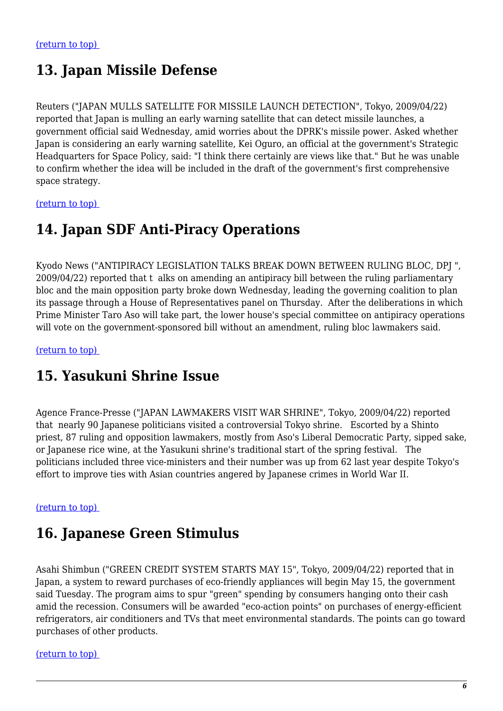# **13. Japan Missile Defense**

Reuters ("JAPAN MULLS SATELLITE FOR MISSILE LAUNCH DETECTION", Tokyo, 2009/04/22) reported that Japan is mulling an early warning satellite that can detect missile launches, a government official said Wednesday, amid worries about the DPRK's missile power. Asked whether Japan is considering an early warning satellite, Kei Oguro, an official at the government's Strategic Headquarters for Space Policy, said: "I think there certainly are views like that." But he was unable to confirm whether the idea will be included in the draft of the government's first comprehensive space strategy.

<span id="page-5-0"></span>[\(return to top\)](#page-0-0) 

### **14. Japan SDF Anti-Piracy Operations**

Kyodo News ("ANTIPIRACY LEGISLATION TALKS BREAK DOWN BETWEEN RULING BLOC, DPJ ", 2009/04/22) reported that t alks on amending an antipiracy bill between the ruling parliamentary bloc and the main opposition party broke down Wednesday, leading the governing coalition to plan its passage through a House of Representatives panel on Thursday. After the deliberations in which Prime Minister Taro Aso will take part, the lower house's special committee on antipiracy operations will vote on the government-sponsored bill without an amendment, ruling bloc lawmakers said.

<span id="page-5-1"></span>[\(return to top\)](#page-0-0) 

### **15. Yasukuni Shrine Issue**

Agence France-Presse ("JAPAN LAWMAKERS VISIT WAR SHRINE", Tokyo, 2009/04/22) reported that nearly 90 Japanese politicians visited a controversial Tokyo shrine. Escorted by a Shinto priest, 87 ruling and opposition lawmakers, mostly from Aso's Liberal Democratic Party, sipped sake, or Japanese rice wine, at the Yasukuni shrine's traditional start of the spring festival. The politicians included three vice-ministers and their number was up from 62 last year despite Tokyo's effort to improve ties with Asian countries angered by Japanese crimes in World War II.

#### <span id="page-5-2"></span>[\(return to top\)](#page-0-0)

# **16. Japanese Green Stimulus**

Asahi Shimbun ("GREEN CREDIT SYSTEM STARTS MAY 15", Tokyo, 2009/04/22) reported that in Japan, a system to reward purchases of eco-friendly appliances will begin May 15, the government said Tuesday. The program aims to spur "green" spending by consumers hanging onto their cash amid the recession. Consumers will be awarded "eco-action points" on purchases of energy-efficient refrigerators, air conditioners and TVs that meet environmental standards. The points can go toward purchases of other products.

<span id="page-5-3"></span>[\(return to top\)](#page-0-0)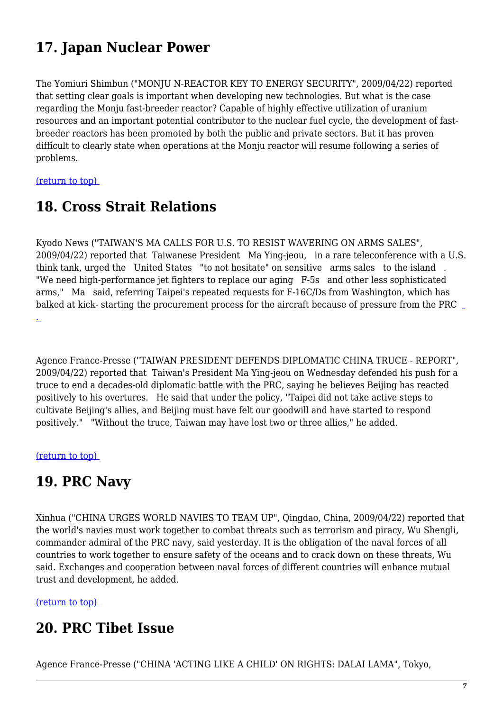# **17. Japan Nuclear Power**

The Yomiuri Shimbun ("MONJU N-REACTOR KEY TO ENERGY SECURITY", 2009/04/22) reported that setting clear goals is important when developing new technologies. But what is the case regarding the Monju fast-breeder reactor? Capable of highly effective utilization of uranium resources and an important potential contributor to the nuclear fuel cycle, the development of fastbreeder reactors has been promoted by both the public and private sectors. But it has proven difficult to clearly state when operations at the Monju reactor will resume following a series of problems.

<span id="page-6-0"></span>[\(return to top\)](#page-0-0) 

## **18. Cross Strait Relations**

Kyodo News ("TAIWAN'S MA CALLS FOR U.S. TO RESIST WAVERING ON ARMS SALES", 2009/04/22) reported that Taiwanese President Ma Ying-jeou, in a rare teleconference with a U.S. think tank, urged the United States "to not hesitate" on sensitive arms sales to the island . "We need high-performance jet fighters to replace our aging F-5s and other less sophisticated arms," Ma said, referring Taipei's repeated requests for F-16C/Ds from Washington, which has balked at kick- starting the procurement process for the aircraft because of pressure from the PRC [.](http://search.breitbart.com/q?s=China&sid=breitbart.com) 

Agence France-Presse ("TAIWAN PRESIDENT DEFENDS DIPLOMATIC CHINA TRUCE - REPORT", 2009/04/22) reported that Taiwan's President Ma Ying-jeou on Wednesday defended his push for a truce to end a decades-old diplomatic battle with the PRC, saying he believes Beijing has reacted positively to his overtures. He said that under the policy, "Taipei did not take active steps to cultivate Beijing's allies, and Beijing must have felt our goodwill and have started to respond positively." "Without the truce, Taiwan may have lost two or three allies," he added.

#### <span id="page-6-1"></span>[\(return to top\)](#page-0-0)

#### **19. PRC Navy**

Xinhua ("CHINA URGES WORLD NAVIES TO TEAM UP", Qingdao, China, 2009/04/22) reported that the world's navies must work together to combat threats such as terrorism and piracy, Wu Shengli, commander admiral of the PRC navy, said yesterday. It is the obligation of the naval forces of all countries to work together to ensure safety of the oceans and to crack down on these threats, Wu said. Exchanges and cooperation between naval forces of different countries will enhance mutual trust and development, he added.

#### <span id="page-6-2"></span>[\(return to top\)](#page-0-0)

#### **20. PRC Tibet Issue**

Agence France-Presse ("CHINA 'ACTING LIKE A CHILD' ON RIGHTS: DALAI LAMA", Tokyo,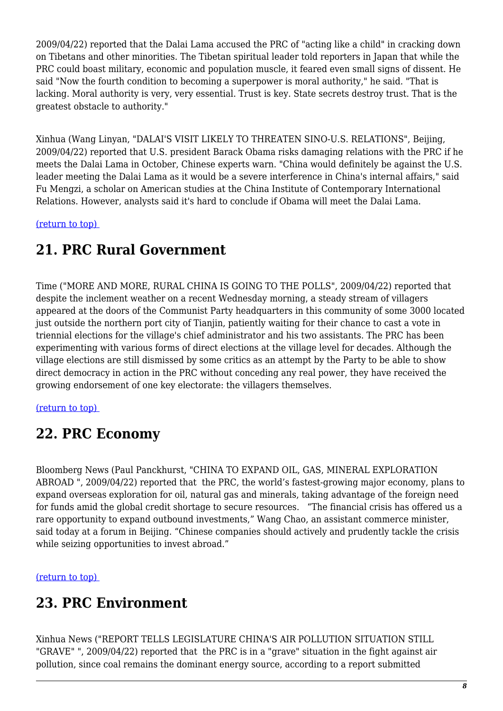2009/04/22) reported that the Dalai Lama accused the PRC of "acting like a child" in cracking down on Tibetans and other minorities. The Tibetan spiritual leader told reporters in Japan that while the PRC could boast military, economic and population muscle, it feared even small signs of dissent. He said "Now the fourth condition to becoming a superpower is moral authority," he said. "That is lacking. Moral authority is very, very essential. Trust is key. State secrets destroy trust. That is the greatest obstacle to authority."

Xinhua (Wang Linyan, "DALAI'S VISIT LIKELY TO THREATEN SINO-U.S. RELATIONS", Beijing, 2009/04/22) reported that U.S. president Barack Obama risks damaging relations with the PRC if he meets the Dalai Lama in October, Chinese experts warn. "China would definitely be against the U.S. leader meeting the Dalai Lama as it would be a severe interference in China's internal affairs," said Fu Mengzi, a scholar on American studies at the China Institute of Contemporary International Relations. However, analysts said it's hard to conclude if Obama will meet the Dalai Lama.

<span id="page-7-0"></span>[\(return to top\)](#page-0-0) 

# **21. PRC Rural Government**

Time ("MORE AND MORE, RURAL CHINA IS GOING TO THE POLLS", 2009/04/22) reported that despite the inclement weather on a recent Wednesday morning, a steady stream of villagers appeared at the doors of the Communist Party headquarters in this community of some 3000 located just outside the northern port city of Tianjin, patiently waiting for their chance to cast a vote in triennial elections for the village's chief administrator and his two assistants. The PRC has been experimenting with various forms of direct elections at the village level for decades. Although the village elections are still dismissed by some critics as an attempt by the Party to be able to show direct democracy in action in the PRC without conceding any real power, they have received the growing endorsement of one key electorate: the villagers themselves.

#### <span id="page-7-1"></span>[\(return to top\)](#page-0-0)

### **22. PRC Economy**

Bloomberg News (Paul Panckhurst, "CHINA TO EXPAND OIL, GAS, MINERAL EXPLORATION ABROAD ", 2009/04/22) reported that the PRC, the world's fastest-growing major economy, plans to expand overseas exploration for oil, natural gas and minerals, taking advantage of the foreign need for funds amid the global credit shortage to secure resources. "The financial crisis has offered us a rare opportunity to expand outbound investments," Wang Chao, an assistant commerce minister, said today at a forum in Beijing. "Chinese companies should actively and prudently tackle the crisis while seizing opportunities to invest abroad."

#### <span id="page-7-2"></span>[\(return to top\)](#page-0-0)

# **23. PRC Environment**

Xinhua News ("REPORT TELLS LEGISLATURE CHINA'S AIR POLLUTION SITUATION STILL "GRAVE" ", 2009/04/22) reported that the PRC is in a "grave" situation in the fight against air pollution, since coal remains the dominant energy source, according to a report submitted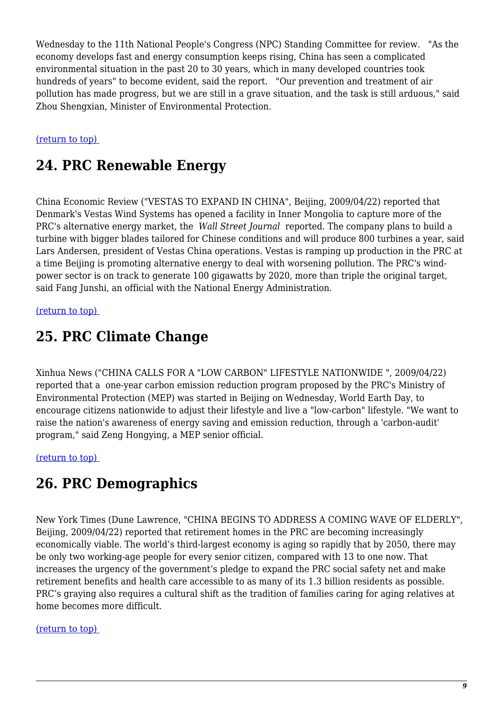Wednesday to the 11th National People's Congress (NPC) Standing Committee for review. "As the economy develops fast and energy consumption keeps rising, China has seen a complicated environmental situation in the past 20 to 30 years, which in many developed countries took hundreds of years" to become evident, said the report. "Our prevention and treatment of air pollution has made progress, but we are still in a grave situation, and the task is still arduous," said Zhou Shengxian, Minister of Environmental Protection.

#### <span id="page-8-0"></span>[\(return to top\)](#page-0-0)

### **24. PRC Renewable Energy**

China Economic Review ("VESTAS TO EXPAND IN CHINA", Beijing, 2009/04/22) reported that Denmark's Vestas Wind Systems has opened a facility in Inner Mongolia to capture more of the PRC's alternative energy market, the *Wall Street Journal* reported. The company plans to build a turbine with bigger blades tailored for Chinese conditions and will produce 800 turbines a year, said Lars Andersen, president of Vestas China operations. Vestas is ramping up production in the PRC at a time Beijing is promoting alternative energy to deal with worsening pollution. The PRC's windpower sector is on track to generate 100 gigawatts by 2020, more than triple the original target, said Fang Junshi, an official with the National Energy Administration.

#### <span id="page-8-1"></span>[\(return to top\)](#page-0-0)

#### **25. PRC Climate Change**

Xinhua News ("CHINA CALLS FOR A "LOW CARBON" LIFESTYLE NATIONWIDE ", 2009/04/22) reported that a one-year carbon emission reduction program proposed by the PRC's Ministry of Environmental Protection (MEP) was started in Beijing on Wednesday, World Earth Day, to encourage citizens nationwide to adjust their lifestyle and live a "low-carbon" lifestyle. "We want to raise the nation's awareness of energy saving and emission reduction, through a 'carbon-audit' program," said Zeng Hongying, a MEP senior official.

<span id="page-8-2"></span>[\(return to top\)](#page-0-0) 

#### **26. PRC Demographics**

New York Times (Dune Lawrence, "CHINA BEGINS TO ADDRESS A COMING WAVE OF ELDERLY", Beijing, 2009/04/22) reported that retirement homes in the PRC are becoming increasingly economically viable. The world's third-largest economy is aging so rapidly that by 2050, there may be only two working-age people for every senior citizen, compared with 13 to one now. That increases the urgency of the government's pledge to expand the PRC social safety net and make retirement benefits and health care accessible to as many of its 1.3 billion residents as possible. PRC's graying also requires a cultural shift as the tradition of families caring for aging relatives at home becomes more difficult.

#### [\(return to top\)](#page-0-0)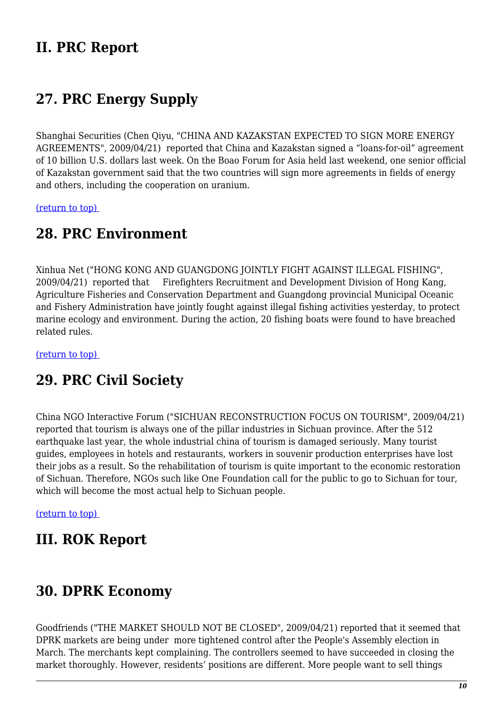### **II. PRC Report**

# <span id="page-9-0"></span>**27. PRC Energy Supply**

Shanghai Securities (Chen Qiyu, "CHINA AND KAZAKSTAN EXPECTED TO SIGN MORE ENERGY AGREEMENTS", 2009/04/21) reported that China and Kazakstan signed a "loans-for-oil" agreement of 10 billion U.S. dollars last week. On the Boao Forum for Asia held last weekend, one senior official of Kazakstan government said that the two countries will sign more agreements in fields of energy and others, including the cooperation on uranium.

<span id="page-9-1"></span>[\(return to top\)](#page-0-0) 

#### **28. PRC Environment**

Xinhua Net ("HONG KONG AND GUANGDONG JOINTLY FIGHT AGAINST ILLEGAL FISHING", 2009/04/21) reported that Firefighters Recruitment and Development Division of Hong Kang, Agriculture Fisheries and Conservation Department and Guangdong provincial Municipal Oceanic and Fishery Administration have jointly fought against illegal fishing activities yesterday, to protect marine ecology and environment. During the action, 20 fishing boats were found to have breached related rules.

<span id="page-9-2"></span>[\(return to top\)](#page-0-0) 

### **29. PRC Civil Society**

China NGO Interactive Forum ("SICHUAN RECONSTRUCTION FOCUS ON TOURISM", 2009/04/21) reported that tourism is always one of the pillar industries in Sichuan province. After the 512 earthquake last year, the whole industrial china of tourism is damaged seriously. Many tourist guides, employees in hotels and restaurants, workers in souvenir production enterprises have lost their jobs as a result. So the rehabilitation of tourism is quite important to the economic restoration of Sichuan. Therefore, NGOs such like One Foundation call for the public to go to Sichuan for tour, which will become the most actual help to Sichuan people.

[\(return to top\)](#page-0-0) 

#### **III. ROK Report**

#### <span id="page-9-3"></span>**30. DPRK Economy**

Goodfriends ("THE MARKET SHOULD NOT BE CLOSED", 2009/04/21) reported that it seemed that DPRK markets are being under more tightened control after the People's Assembly election in March. The merchants kept complaining. The controllers seemed to have succeeded in closing the market thoroughly. However, residents' positions are different. More people want to sell things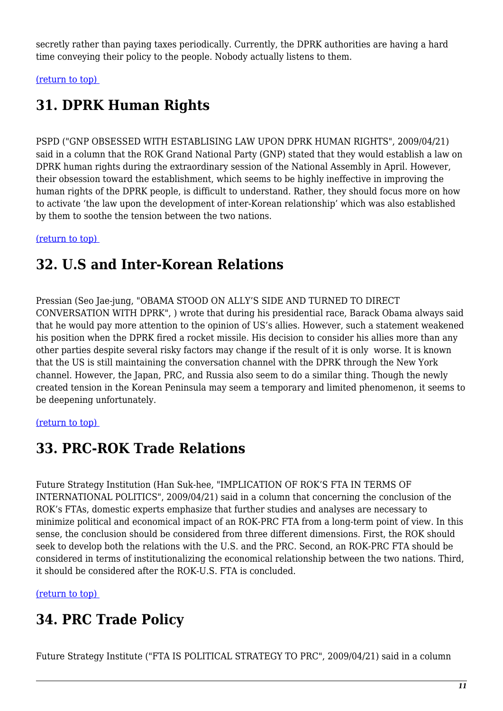secretly rather than paying taxes periodically. Currently, the DPRK authorities are having a hard time conveying their policy to the people. Nobody actually listens to them.

<span id="page-10-0"></span>[\(return to top\)](#page-0-0) 

# **31. DPRK Human Rights**

PSPD ("GNP OBSESSED WITH ESTABLISING LAW UPON DPRK HUMAN RIGHTS", 2009/04/21) said in a column that the ROK Grand National Party (GNP) stated that they would establish a law on DPRK human rights during the extraordinary session of the National Assembly in April. However, their obsession toward the establishment, which seems to be highly ineffective in improving the human rights of the DPRK people, is difficult to understand. Rather, they should focus more on how to activate 'the law upon the development of inter-Korean relationship' which was also established by them to soothe the tension between the two nations.

<span id="page-10-1"></span>[\(return to top\)](#page-0-0) 

# **32. U.S and Inter-Korean Relations**

Pressian (Seo Jae-jung, "OBAMA STOOD ON ALLY'S SIDE AND TURNED TO DIRECT CONVERSATION WITH DPRK", ) wrote that during his presidential race, Barack Obama always said that he would pay more attention to the opinion of US's allies. However, such a statement weakened his position when the DPRK fired a rocket missile. His decision to consider his allies more than any other parties despite several risky factors may change if the result of it is only worse. It is known that the US is still maintaining the conversation channel with the DPRK through the New York channel. However, the Japan, PRC, and Russia also seem to do a similar thing. Though the newly created tension in the Korean Peninsula may seem a temporary and limited phenomenon, it seems to be deepening unfortunately.

#### <span id="page-10-2"></span>[\(return to top\)](#page-0-0)

### **33. PRC-ROK Trade Relations**

Future Strategy Institution (Han Suk-hee, "IMPLICATION OF ROK'S FTA IN TERMS OF INTERNATIONAL POLITICS", 2009/04/21) said in a column that concerning the conclusion of the ROK's FTAs, domestic experts emphasize that further studies and analyses are necessary to minimize political and economical impact of an ROK-PRC FTA from a long-term point of view. In this sense, the conclusion should be considered from three different dimensions. First, the ROK should seek to develop both the relations with the U.S. and the PRC. Second, an ROK-PRC FTA should be considered in terms of institutionalizing the economical relationship between the two nations. Third, it should be considered after the ROK-U.S. FTA is concluded.

<span id="page-10-3"></span>[\(return to top\)](#page-0-0) 

# **34. PRC Trade Policy**

Future Strategy Institute ("FTA IS POLITICAL STRATEGY TO PRC", 2009/04/21) said in a column